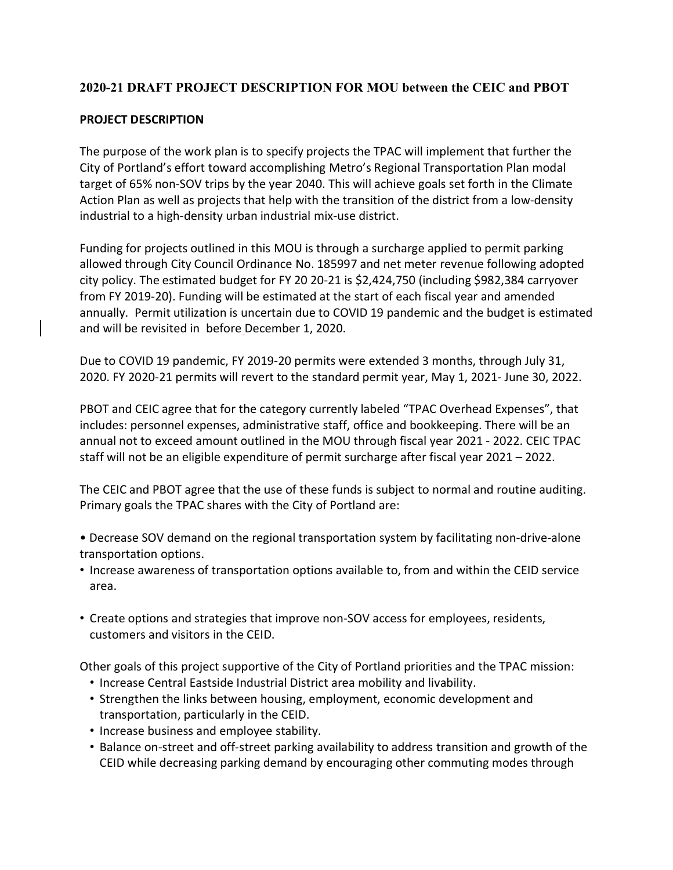# **2020-21 DRAFT PROJECT DESCRIPTION FOR MOU between the CEIC and PBOT**

## **PROJECT DESCRIPTION**

The purpose of the work plan is to specify projects the TPAC will implement that further the City of Portland's effort toward accomplishing Metro's Regional Transportation Plan modal target of 65% non-SOV trips by the year 2040. This will achieve goals set forth in the Climate Action Plan as well as projects that help with the transition of the district from a low-density industrial to a high-density urban industrial mix-use district.

Funding for projects outlined in this MOU is through a surcharge applied to permit parking allowed through City Council Ordinance No. 185997 and net meter revenue following adopted city policy. The estimated budget for FY 20 20-21 is \$2,424,750 (including \$982,384 carryover from FY 2019-20). Funding will be estimated at the start of each fiscal year and amended annually. Permit utilization is uncertain due to COVID 19 pandemic and the budget is estimated and will be revisited in before December 1, 2020.

Due to COVID 19 pandemic, FY 2019-20 permits were extended 3 months, through July 31, 2020. FY 2020-21 permits will revert to the standard permit year, May 1, 2021- June 30, 2022.

PBOT and CEIC agree that for the category currently labeled "TPAC Overhead Expenses", that includes: personnel expenses, administrative staff, office and bookkeeping. There will be an annual not to exceed amount outlined in the MOU through fiscal year 2021 - 2022. CEIC TPAC staff will not be an eligible expenditure of permit surcharge after fiscal year 2021 – 2022.

The CEIC and PBOT agree that the use of these funds is subject to normal and routine auditing. Primary goals the TPAC shares with the City of Portland are:

- Decrease SOV demand on the regional transportation system by facilitating non-drive-alone transportation options.
- Increase awareness of transportation options available to, from and within the CEID service area.
- Create options and strategies that improve non-SOV access for employees, residents, customers and visitors in the CEID.

Other goals of this project supportive of the City of Portland priorities and the TPAC mission:

- Increase Central Eastside Industrial District area mobility and livability.
- Strengthen the links between housing, employment, economic development and transportation, particularly in the CEID.
- Increase business and employee stability.
- Balance on-street and off-street parking availability to address transition and growth of the CEID while decreasing parking demand by encouraging other commuting modes through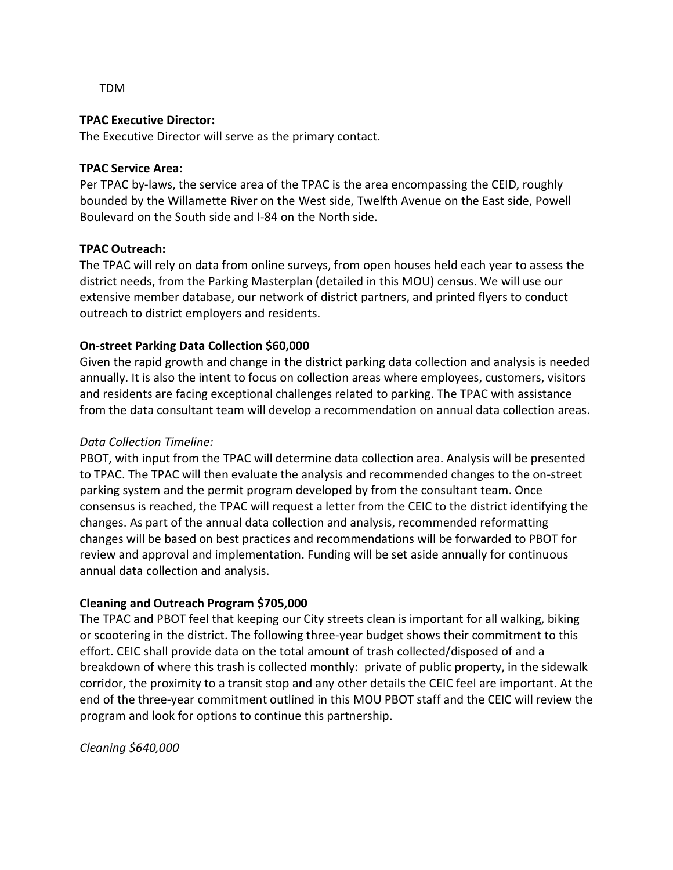TDM

### **TPAC Executive Director:**

The Executive Director will serve as the primary contact.

#### **TPAC Service Area:**

Per TPAC by-laws, the service area of the TPAC is the area encompassing the CEID, roughly bounded by the Willamette River on the West side, Twelfth Avenue on the East side, Powell Boulevard on the South side and I-84 on the North side.

#### **TPAC Outreach:**

The TPAC will rely on data from online surveys, from open houses held each year to assess the district needs, from the Parking Masterplan (detailed in this MOU) census. We will use our extensive member database, our network of district partners, and printed flyers to conduct outreach to district employers and residents.

### **On-street Parking Data Collection \$60,000**

Given the rapid growth and change in the district parking data collection and analysis is needed annually. It is also the intent to focus on collection areas where employees, customers, visitors and residents are facing exceptional challenges related to parking. The TPAC with assistance from the data consultant team will develop a recommendation on annual data collection areas.

### *Data Collection Timeline:*

PBOT, with input from the TPAC will determine data collection area. Analysis will be presented to TPAC. The TPAC will then evaluate the analysis and recommended changes to the on-street parking system and the permit program developed by from the consultant team. Once consensus is reached, the TPAC will request a letter from the CEIC to the district identifying the changes. As part of the annual data collection and analysis, recommended reformatting changes will be based on best practices and recommendations will be forwarded to PBOT for review and approval and implementation. Funding will be set aside annually for continuous annual data collection and analysis.

### **Cleaning and Outreach Program \$705,000**

The TPAC and PBOT feel that keeping our City streets clean is important for all walking, biking or scootering in the district. The following three-year budget shows their commitment to this effort. CEIC shall provide data on the total amount of trash collected/disposed of and a breakdown of where this trash is collected monthly: private of public property, in the sidewalk corridor, the proximity to a transit stop and any other details the CEIC feel are important. At the end of the three-year commitment outlined in this MOU PBOT staff and the CEIC will review the program and look for options to continue this partnership.

*Cleaning \$640,000*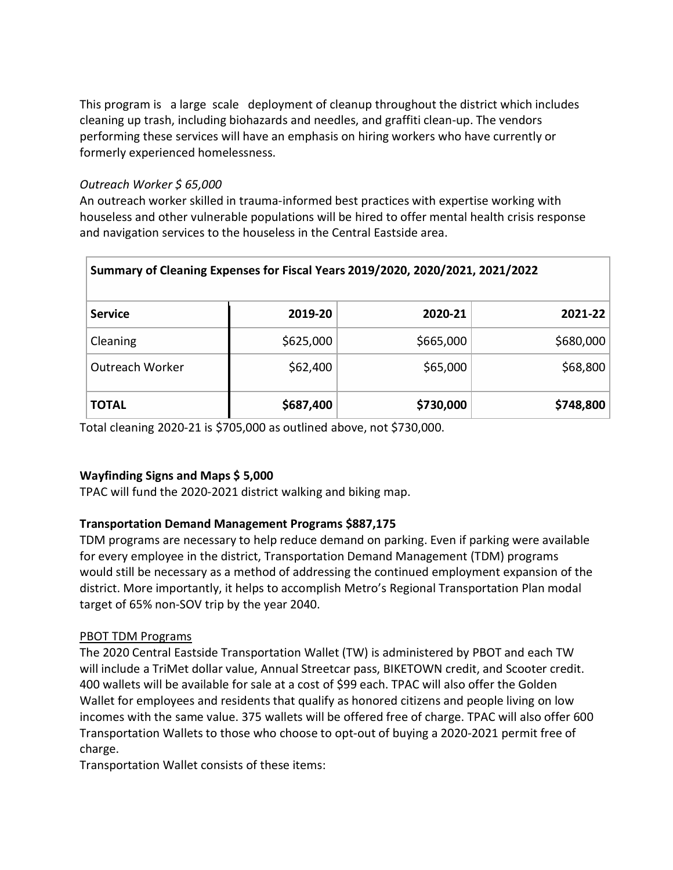This program is a large scale deployment of cleanup throughout the district which includes cleaning up trash, including biohazards and needles, and graffiti clean-up. The vendors performing these services will have an emphasis on hiring workers who have currently or formerly experienced homelessness.

## *Outreach Worker \$ 65,000*

An outreach worker skilled in trauma-informed best practices with expertise working with houseless and other vulnerable populations will be hired to offer mental health crisis response and navigation services to the houseless in the Central Eastside area.

| Summary of Cleaning Expenses for Fiscal Years 2019/2020, 2020/2021, 2021/2022 |           |           |           |
|-------------------------------------------------------------------------------|-----------|-----------|-----------|
| <b>Service</b>                                                                | 2019-20   | 2020-21   | 2021-22   |
| Cleaning                                                                      | \$625,000 | \$665,000 | \$680,000 |
| Outreach Worker                                                               | \$62,400  | \$65,000  | \$68,800  |
| <b>TOTAL</b>                                                                  | \$687,400 | \$730,000 | \$748,800 |

Total cleaning 2020-21 is \$705,000 as outlined above, not \$730,000.

# **Wayfinding Signs and Maps \$ 5,000**

TPAC will fund the 2020-2021 district walking and biking map.

# **Transportation Demand Management Programs \$887,175**

TDM programs are necessary to help reduce demand on parking. Even if parking were available for every employee in the district, Transportation Demand Management (TDM) programs would still be necessary as a method of addressing the continued employment expansion of the district. More importantly, it helps to accomplish Metro's Regional Transportation Plan modal target of 65% non-SOV trip by the year 2040.

### PBOT TDM Programs

The 2020 Central Eastside Transportation Wallet (TW) is administered by PBOT and each TW will include a TriMet dollar value, Annual Streetcar pass, BIKETOWN credit, and Scooter credit. 400 wallets will be available for sale at a cost of \$99 each. TPAC will also offer the Golden Wallet for employees and residents that qualify as honored citizens and people living on low incomes with the same value. 375 wallets will be offered free of charge. TPAC will also offer 600 Transportation Wallets to those who choose to opt-out of buying a 2020-2021 permit free of charge.

Transportation Wallet consists of these items: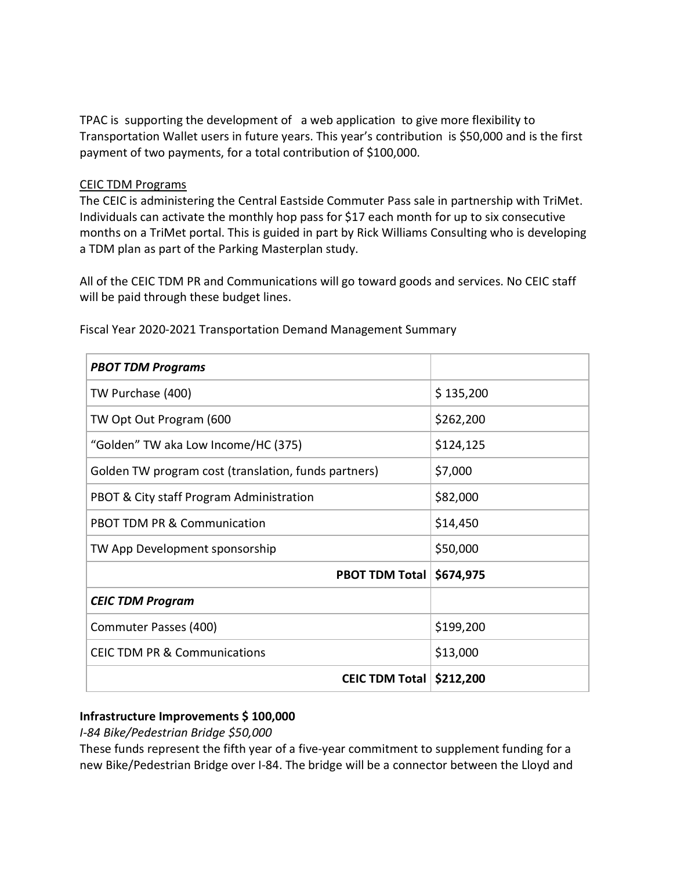TPAC is supporting the development of a web application to give more flexibility to Transportation Wallet users in future years. This year's contribution is \$50,000 and is the first payment of two payments, for a total contribution of \$100,000.

### CEIC TDM Programs

The CEIC is administering the Central Eastside Commuter Pass sale in partnership with TriMet. Individuals can activate the monthly hop pass for \$17 each month for up to six consecutive months on a TriMet portal. This is guided in part by Rick Williams Consulting who is developing a TDM plan as part of the Parking Masterplan study.

All of the CEIC TDM PR and Communications will go toward goods and services. No CEIC staff will be paid through these budget lines.

| <b>PBOT TDM Programs</b>                             |           |
|------------------------------------------------------|-----------|
| TW Purchase (400)                                    | \$135,200 |
| TW Opt Out Program (600                              | \$262,200 |
| "Golden" TW aka Low Income/HC (375)                  | \$124,125 |
| Golden TW program cost (translation, funds partners) | \$7,000   |
| PBOT & City staff Program Administration             | \$82,000  |
| <b>PBOT TDM PR &amp; Communication</b>               | \$14,450  |
| TW App Development sponsorship                       | \$50,000  |
| <b>PBOT TDM Total</b>                                | \$674,975 |
| <b>CEIC TDM Program</b>                              |           |
| Commuter Passes (400)                                | \$199,200 |
| <b>CEIC TDM PR &amp; Communications</b>              | \$13,000  |
| <b>CEIC TDM Total</b>                                | \$212,200 |

Fiscal Year 2020-2021 Transportation Demand Management Summary

### **Infrastructure Improvements \$ 100,000**

*I-84 Bike/Pedestrian Bridge \$50,000*

These funds represent the fifth year of a five-year commitment to supplement funding for a new Bike/Pedestrian Bridge over I-84. The bridge will be a connector between the Lloyd and